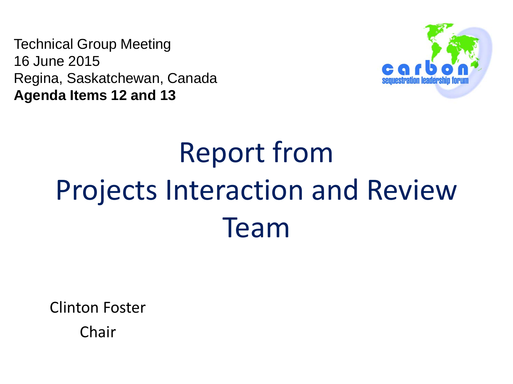Technical Group Meeting 16 June 2015 Regina, Saskatchewan, Canada **Agenda Items 12 and 13**



# Report from Projects Interaction and Review Team

Clinton Foster

Chair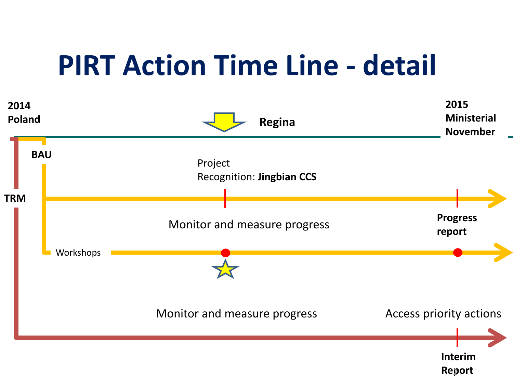# **PIRT Action Time Line - detail**

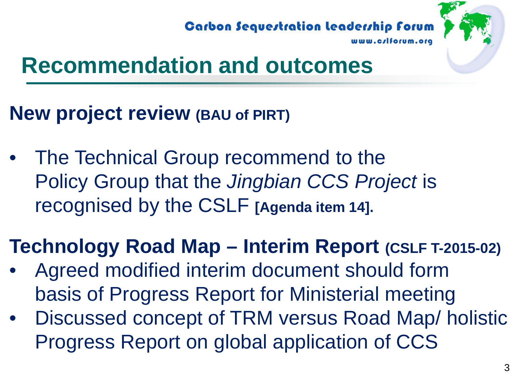Carbon Sequestration Leadership Forum



# **Recommendation and outcomes**

### **New project review (BAU of PIRT)**

The Technical Group recommend to the Policy Group that the *Jingbian CCS Project* is recognised by the CSLF **[Agenda item 14].**

### **Technology Road Map – Interim Report (CSLF T-2015-02)**

- Agreed modified interim document should form basis of Progress Report for Ministerial meeting
- Discussed concept of TRM versus Road Map/ holistic Progress Report on global application of CCS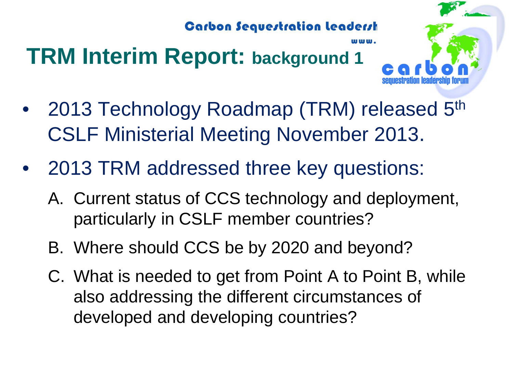# **TRM Interim Report: background 1**



- 2013 Technology Roadmap (TRM) released 5<sup>th</sup> CSLF Ministerial Meeting November 2013.
- 2013 TRM addressed three key questions:
	- A. Current status of CCS technology and deployment, particularly in CSLF member countries?
	- B. Where should CCS be by 2020 and beyond?
	- C. What is needed to get from Point A to Point B, while also addressing the different circumstances of developed and developing countries?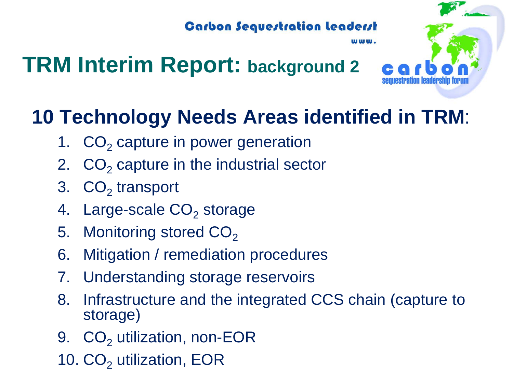## **TRM Interim Report: background 2**



### **10 Technology Needs Areas identified in TRM**:

- 1.  $CO<sub>2</sub>$  capture in power generation
- 2.  $CO<sub>2</sub>$  capture in the industrial sector
- 3.  $CO<sub>2</sub>$  transport
- 4. Large-scale  $CO<sub>2</sub>$  storage
- 5. Monitoring stored  $CO<sub>2</sub>$
- 6. Mitigation / remediation procedures
- 7. Understanding storage reservoirs
- 8. Infrastructure and the integrated CCS chain (capture to storage)
- 9. CO<sub>2</sub> utilization, non-EOR
- 10. CO<sub>2</sub> utilization, EOR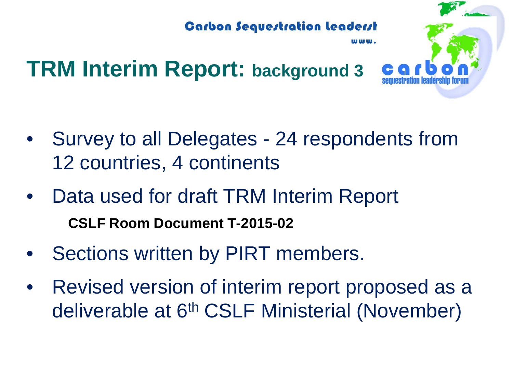

## **TRM Interim Report: background 3**

- Survey to all Delegates 24 respondents from 12 countries, 4 continents
- Data used for draft TRM Interim Report **CSLF Room Document T-2015-02**
- Sections written by PIRT members.
- Revised version of interim report proposed as a deliverable at 6<sup>th</sup> CSLF Ministerial (November)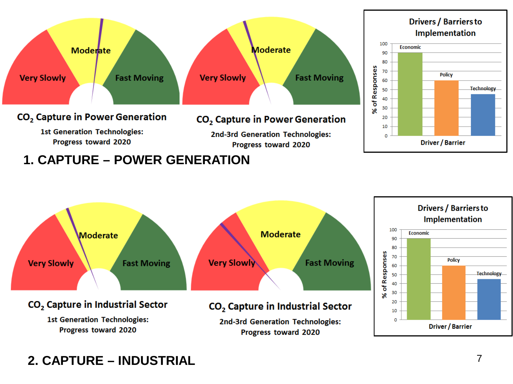

### **1. CAPTURE – POWER GENERATION**



### **2. CAPTURE – INDUSTRIAL**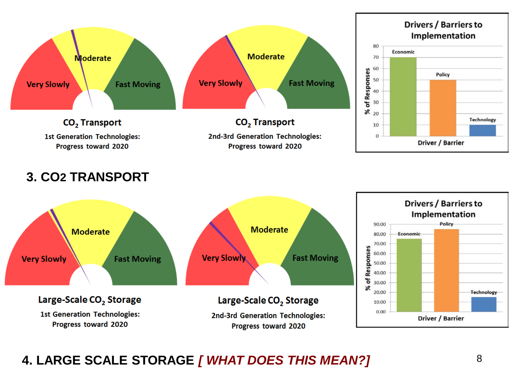

**3. CO2 TRANSPORT**



### **4. LARGE SCALE STORAGE** *[ WHAT DOES THIS MEAN?]*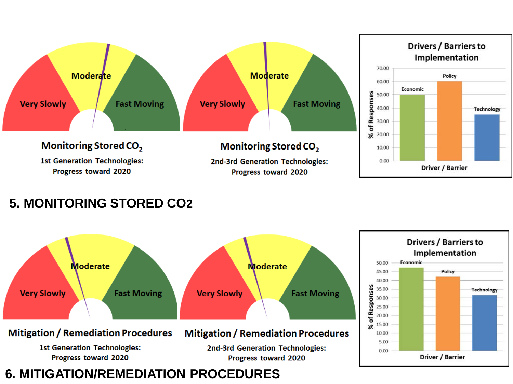

#### **5. MONITORING STORED CO2**

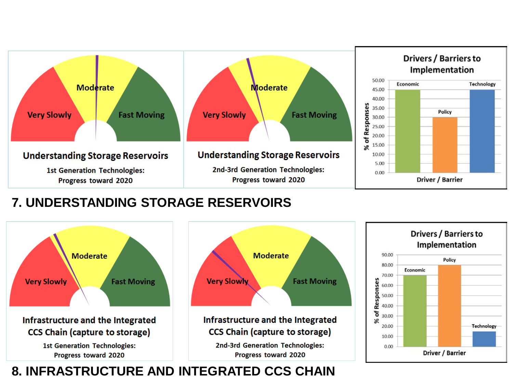

### **7. UNDERSTANDING STORAGE RESERVOIRS**



### **8. INFRASTRUCTURE AND INTEGRATED CCS CHAIN**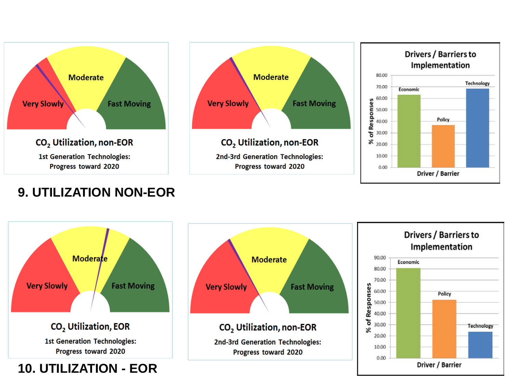







### **Moderate Very Slowly Fast Moving** CO<sub>2</sub> Utilization, EOR **1st Generation Technologies:** Progress toward 2020

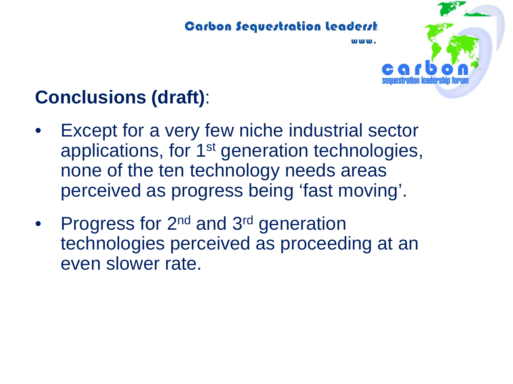

### **Conclusions (draft)**:

- Except for a very few niche industrial sector applications, for 1st generation technologies, none of the ten technology needs areas perceived as progress being 'fast moving'.
- Progress for 2<sup>nd</sup> and 3<sup>rd</sup> generation technologies perceived as proceeding at an even slower rate.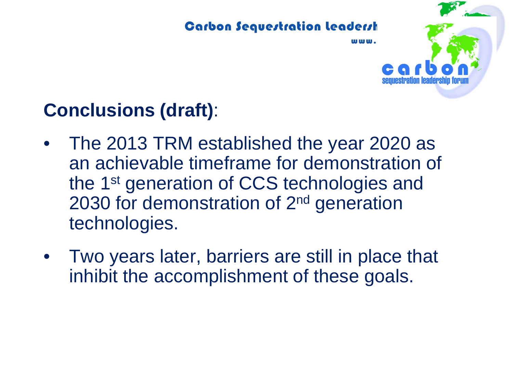

www.

### **Conclusions (draft)**:

- The 2013 TRM established the year 2020 as an achievable timeframe for demonstration of the 1st generation of CCS technologies and 2030 for demonstration of 2nd generation technologies.
- Two years later, barriers are still in place that inhibit the accomplishment of these goals.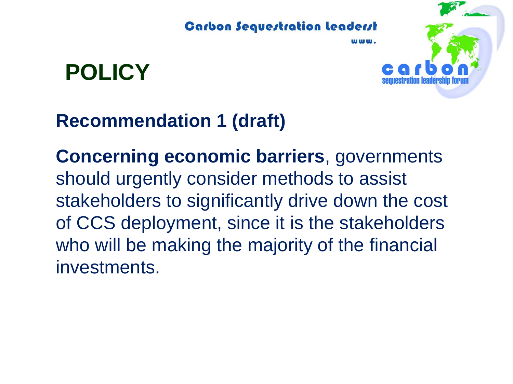

**POLICY**



**Concerning economic barriers**, governments should urgently consider methods to assist stakeholders to significantly drive down the cost of CCS deployment, since it is the stakeholders who will be making the majority of the financial investments.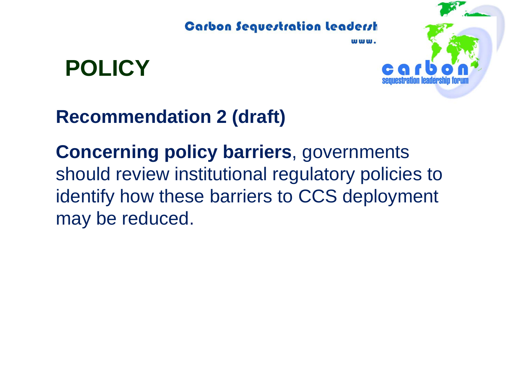**POLICY**



### **Recommendation 2 (draft)**

**Concerning policy barriers**, governments should review institutional regulatory policies to identify how these barriers to CCS deployment may be reduced.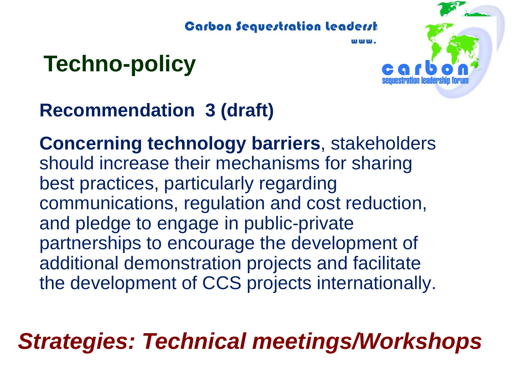# **Techno-policy**



**115 888 888.** 

### **Recommendation 3 (draft)**

**Concerning technology barriers**, stakeholders should increase their mechanisms for sharing best practices, particularly regarding communications, regulation and cost reduction, and pledge to engage in public-private partnerships to encourage the development of additional demonstration projects and facilitate the development of CCS projects internationally.

## *Strategies: Technical meetings/Workshops*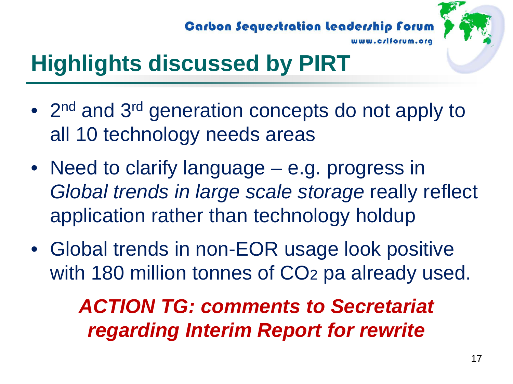**Carbon Sequestration leadership forum** 



# **Highlights discussed by PIRT**

- 2<sup>nd</sup> and 3<sup>rd</sup> generation concepts do not apply to all 10 technology needs areas
- Need to clarify language e.g. progress in *Global trends in large scale storage* really reflect application rather than technology holdup
- Global trends in non-EOR usage look positive with 180 million tonnes of CO<sub>2</sub> pa already used.

### *ACTION TG: comments to Secretariat regarding Interim Report for rewrite*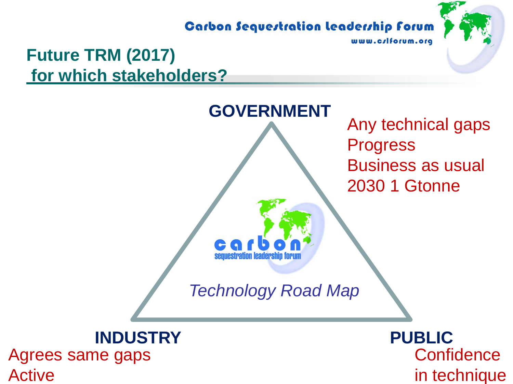#### **Carbon Sequestration Leadership Forum**

www.crlforum.org

### **Future TRM (2017) for which stakeholders?**



Agrees same gaps Active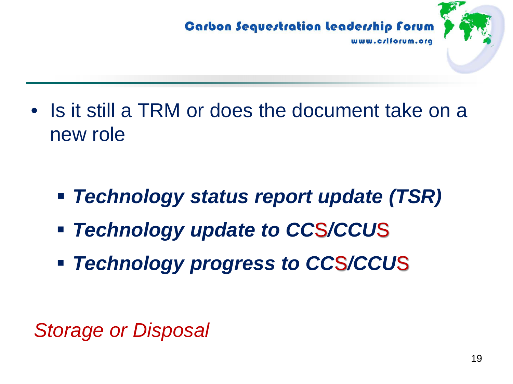

• Is it still a TRM or does the document take on a new role

- *Technology status report update (TSR)*
- *Technology update to CC*S*/CCU*S
- *Technology progress to CC*S*/CCU*S

*Storage or Disposal*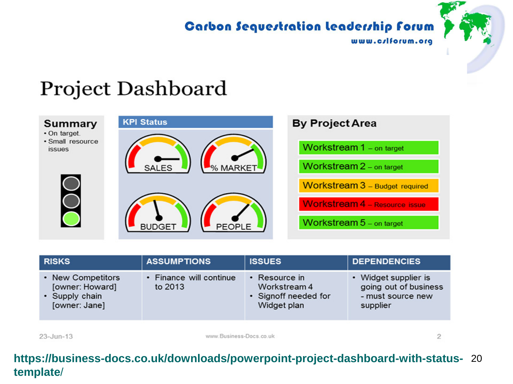### **Carbon Sequestration leadership forum**



### **Project Dashboard**



| <b>RISKS</b>                                                            | <b>ASSUMPTIONS</b>                 | <b>ISSUES</b>                                                              | <b>DEPENDENCIES</b>                                                            |
|-------------------------------------------------------------------------|------------------------------------|----------------------------------------------------------------------------|--------------------------------------------------------------------------------|
| • New Competitors<br>[owner: Howard]<br>• Supply chain<br>[owner: Jane] | • Finance will continue<br>to 2013 | $\cdot$ Resource in<br>Workstream 4<br>• Signoff needed for<br>Widget plan | • Widget supplier is<br>going out of business<br>- must source new<br>supplier |
|                                                                         |                                    |                                                                            |                                                                                |

 $23 - Jun-13$ 

www.Business-Docs.co.uk

 $\overline{c}$ 

#### **https://business-docs.co.uk/downloads/powerpoint-project-dashboard-with-status-** 20 **template**/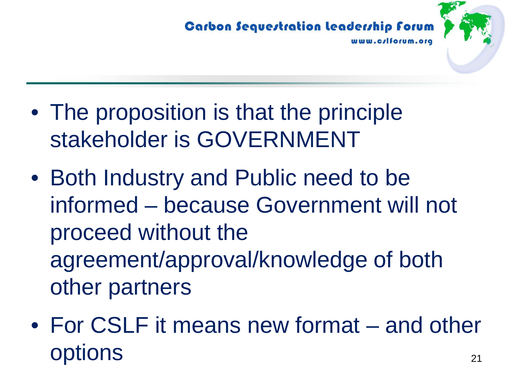

- The proposition is that the principle stakeholder is GOVERNMENT
- Both Industry and Public need to be informed – because Government will not proceed without the agreement/approval/knowledge of both other partners
- For CSLF it means new format and other options <sup>21</sup>